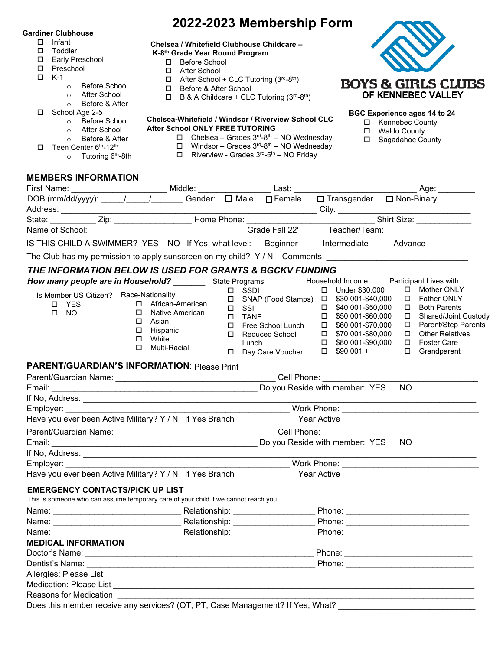#### **Gardiner Clubhouse**

- Infant
- □ Toddler
- □ Early Preschool
- □ Preschool
- $\Box$  K-1
	- o Before School
		- o After School
	- o Before & After
- School Age 2-5
	- o Before School
	- o After School
	- o Before & After
- $\Box$  Teen Center 6<sup>th</sup>-12<sup>th</sup>
	- o Tutoring 6<sup>th</sup>-8th

# **Chelsea / Whitefield Clubhouse Childcare –**

## **K-8th Grade Year Round Program**

- □ Before School
- After School
- $\Box$  After School + CLC Tutoring (3rd-8th)
- □ Before & After School
- $\Box$  B & A Childcare + CLC Tutoring (3<sup>rd</sup>-8<sup>th</sup>)

#### **Chelsea-Whitefield / Windsor / Riverview School CLC After School ONLY FREE TUTORING**

- $\Box$  Chelsea Grades  $3^{rd} 8^{th} NO$  Wednesday
- $\Box$  Windsor Grades 3<sup>rd</sup>-8<sup>th</sup> NO Wednesday
- $\Box$  Riverview Grades  $3^{rd} 5^{th} NO$  Friday



## **BGC Experience ages 14 to 24**

- □ Kennebec County
- □ Waldo County
- □ Sagadahoc County

| <b>MEMBERS INFORMATION</b> |  |
|----------------------------|--|
| Eirot Nomo                 |  |

| DOB (mm/dd/yyyy): / / / Gender: □ Male □ Female                                                                               |                                                                                                                                       |                                   |                                                 |  | □ Transgender □ Non-Binary                                                                                                                                                                                                                                                                  |           |                                                                                                                                                                 |
|-------------------------------------------------------------------------------------------------------------------------------|---------------------------------------------------------------------------------------------------------------------------------------|-----------------------------------|-------------------------------------------------|--|---------------------------------------------------------------------------------------------------------------------------------------------------------------------------------------------------------------------------------------------------------------------------------------------|-----------|-----------------------------------------------------------------------------------------------------------------------------------------------------------------|
|                                                                                                                               |                                                                                                                                       |                                   |                                                 |  |                                                                                                                                                                                                                                                                                             |           |                                                                                                                                                                 |
|                                                                                                                               |                                                                                                                                       |                                   |                                                 |  |                                                                                                                                                                                                                                                                                             |           |                                                                                                                                                                 |
| IS THIS CHILD A SWIMMER? YES NO If Yes, what level: Beginner Intermediate                                                     |                                                                                                                                       |                                   |                                                 |  |                                                                                                                                                                                                                                                                                             | Advance   |                                                                                                                                                                 |
| The Club has my permission to apply sunscreen on my child? Y / N Comments: ___________________________________                |                                                                                                                                       |                                   |                                                 |  |                                                                                                                                                                                                                                                                                             |           |                                                                                                                                                                 |
| THE INFORMATION BELOW IS USED FOR GRANTS & BGCKV FUNDING                                                                      |                                                                                                                                       |                                   |                                                 |  |                                                                                                                                                                                                                                                                                             |           |                                                                                                                                                                 |
| How many people are in Household? __________ State Programs:                                                                  |                                                                                                                                       |                                   |                                                 |  | Household Income: Participant Lives with:                                                                                                                                                                                                                                                   |           |                                                                                                                                                                 |
| Is Member US Citizen? Race-Nationality:<br>□ YES<br>$\Box$ NO                                                                 | □ African-American<br>Native American<br>$\Box$<br>$\Box$<br>Asian<br>Hispanic<br>$\Box$<br>White<br>$\Box$<br>$\Box$<br>Multi-Racial |                                   | □ SSDI<br>$\Box$ SSI<br>$\square$ TANF<br>Lunch |  | □ Under \$30,000<br>□ SNAP (Food Stamps) □ \$30,001-\$40,000<br>$\Box$ \$40,001-\$50,000<br>□ \$50,001-\$60,000<br>$\square$ Free School Lunch $\square$ \$60,001-\$70,000<br>$\Box$ Reduced School $\Box$ \$70,001-\$80,000<br>$\Box$ \$80,001-\$90,000<br>□ Day Care Voucher □ \$90,001 + |           | □ Mother ONLY<br>□ Father ONLY<br>□ Both Parents<br>□ Shared/Joint Custody<br>□ Parent/Step Parents<br>$\Box$ Other Relatives<br>□ Foster Care<br>□ Grandparent |
| <b>PARENT/GUARDIAN'S INFORMATION: Please Print</b>                                                                            |                                                                                                                                       |                                   |                                                 |  |                                                                                                                                                                                                                                                                                             |           |                                                                                                                                                                 |
|                                                                                                                               |                                                                                                                                       |                                   |                                                 |  |                                                                                                                                                                                                                                                                                             |           |                                                                                                                                                                 |
|                                                                                                                               |                                                                                                                                       |                                   |                                                 |  | Do you Reside with member: YES                                                                                                                                                                                                                                                              | <b>NO</b> |                                                                                                                                                                 |
|                                                                                                                               |                                                                                                                                       |                                   |                                                 |  |                                                                                                                                                                                                                                                                                             |           |                                                                                                                                                                 |
| Employer: Employer:                                                                                                           |                                                                                                                                       |                                   |                                                 |  |                                                                                                                                                                                                                                                                                             |           |                                                                                                                                                                 |
| Have you ever been Active Military? Y / N If Yes Branch _____________ Year Active______                                       |                                                                                                                                       |                                   |                                                 |  |                                                                                                                                                                                                                                                                                             |           |                                                                                                                                                                 |
|                                                                                                                               |                                                                                                                                       |                                   |                                                 |  |                                                                                                                                                                                                                                                                                             |           |                                                                                                                                                                 |
|                                                                                                                               |                                                                                                                                       |                                   |                                                 |  |                                                                                                                                                                                                                                                                                             | NO.       |                                                                                                                                                                 |
|                                                                                                                               |                                                                                                                                       |                                   |                                                 |  |                                                                                                                                                                                                                                                                                             |           |                                                                                                                                                                 |
| Employer:                                                                                                                     |                                                                                                                                       |                                   |                                                 |  |                                                                                                                                                                                                                                                                                             |           |                                                                                                                                                                 |
| Have you ever been Active Military? Y / N If Yes Branch ______________ Year Active_______                                     |                                                                                                                                       |                                   |                                                 |  |                                                                                                                                                                                                                                                                                             |           |                                                                                                                                                                 |
| <b>EMERGENCY CONTACTS/PICK UP LIST</b><br>This is someone who can assume temporary care of your child if we cannot reach you. |                                                                                                                                       |                                   |                                                 |  |                                                                                                                                                                                                                                                                                             |           |                                                                                                                                                                 |
|                                                                                                                               |                                                                                                                                       |                                   |                                                 |  |                                                                                                                                                                                                                                                                                             |           |                                                                                                                                                                 |
|                                                                                                                               |                                                                                                                                       |                                   |                                                 |  |                                                                                                                                                                                                                                                                                             |           |                                                                                                                                                                 |
| Name:                                                                                                                         |                                                                                                                                       | Relationship: <b>Example 2019</b> |                                                 |  |                                                                                                                                                                                                                                                                                             |           |                                                                                                                                                                 |
| <b>MEDICAL INFORMATION</b>                                                                                                    |                                                                                                                                       |                                   |                                                 |  |                                                                                                                                                                                                                                                                                             |           |                                                                                                                                                                 |
|                                                                                                                               |                                                                                                                                       |                                   |                                                 |  |                                                                                                                                                                                                                                                                                             |           |                                                                                                                                                                 |
|                                                                                                                               |                                                                                                                                       |                                   |                                                 |  |                                                                                                                                                                                                                                                                                             |           |                                                                                                                                                                 |
|                                                                                                                               |                                                                                                                                       |                                   |                                                 |  |                                                                                                                                                                                                                                                                                             |           |                                                                                                                                                                 |
|                                                                                                                               |                                                                                                                                       |                                   |                                                 |  |                                                                                                                                                                                                                                                                                             |           |                                                                                                                                                                 |
| Reasons for Medication: Network                                                                                               |                                                                                                                                       |                                   |                                                 |  |                                                                                                                                                                                                                                                                                             |           |                                                                                                                                                                 |
| Does this member receive any services? (OT, PT, Case Management? If Yes, What?                                                |                                                                                                                                       |                                   |                                                 |  |                                                                                                                                                                                                                                                                                             |           |                                                                                                                                                                 |